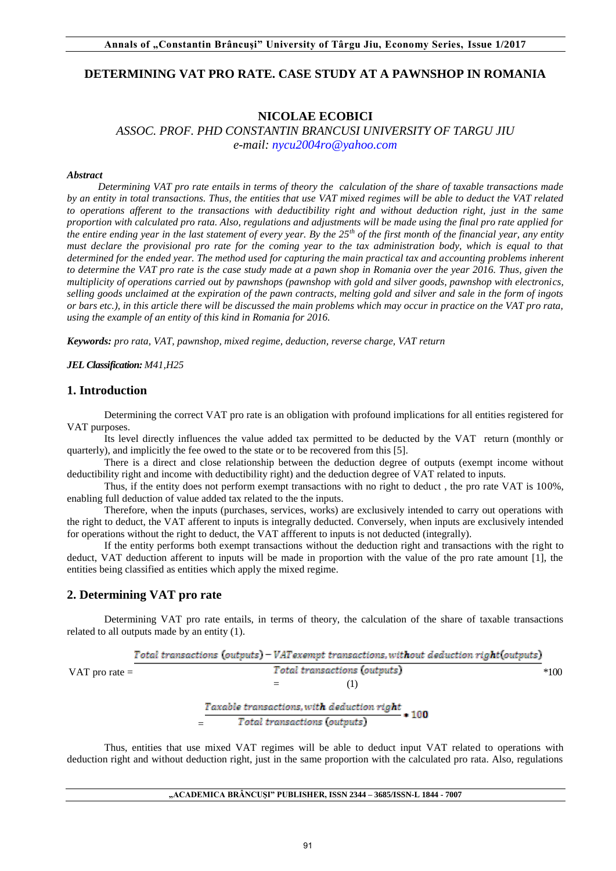## **DETERMINING VAT PRO RATE. CASE STUDY AT A PAWNSHOP IN ROMANIA**

## **NICOLAE ECOBICI**

*ASSOC. PROF. PHD CONSTANTIN BRANCUSI UNIVERSITY OF TARGU JIU e-mail: [nycu2004ro@yahoo.com](mailto:nycu2004ro@yahoo.com)*

### *Abstract*

*Determining VAT pro rate entails in terms of theory the calculation of the share of taxable transactions made by an entity in total transactions. Thus, the entities that use VAT mixed regimes will be able to deduct the VAT related to operations afferent to the transactions with deductibility right and without deduction right, just in the same proportion with calculated pro rata. Also, regulations and adjustments will be made using the final pro rate applied for the entire ending year in the last statement of every year. By the 25th of the first month of the financial year, any entity must declare the provisional pro rate for the coming year to the tax administration body, which is equal to that determined for the ended year. The method used for capturing the main practical tax and accounting problems inherent to determine the VAT pro rate is the case study made at a pawn shop in Romania over the year 2016. Thus, given the multiplicity of operations carried out by pawnshops (pawnshop with gold and silver goods, pawnshop with electronics, selling goods unclaimed at the expiration of the pawn contracts, melting gold and silver and sale in the form of ingots or bars etc.), in this article there will be discussed the main problems which may occur in practice on the VAT pro rata, using the example of an entity of this kind in Romania for 2016.* 

*Keywords: pro rata, VAT, pawnshop, mixed regime, deduction, reverse charge, VAT return* 

#### *JEL Classification: M41,H25*

## **1. Introduction**

Determining the correct VAT pro rate is an obligation with profound implications for all entities registered for VAT purposes.

Its level directly influences the value added tax permitted to be deducted by the VAT return (monthly or quarterly), and implicitly the fee owed to the state or to be recovered from this [5].

There is a direct and close relationship between the deduction degree of outputs (exempt income without deductibility right and income with deductibility right) and the deduction degree of VAT related to inputs.

Thus, if the entity does not perform exempt transactions with no right to deduct , the pro rate VAT is 100%, enabling full deduction of value added tax related to the the inputs.

Therefore, when the inputs (purchases, services, works) are exclusively intended to carry out operations with the right to deduct, the VAT afferent to inputs is integrally deducted. Conversely, when inputs are exclusively intended for operations without the right to deduct, the VAT affferent to inputs is not deducted (integrally).

If the entity performs both exempt transactions without the deduction right and transactions with the right to deduct, VAT deduction afferent to inputs will be made in proportion with the value of the pro rate amount [1], the entities being classified as entities which apply the mixed regime.

## **2. Determining VAT pro rate**

Determining VAT pro rate entails, in terms of theory, the calculation of the share of taxable transactions related to all outputs made by an entity (1).

$$
VAT \text{ pro rate} = \frac{\text{Total transactions (outputs)} - \text{VAT example transactions, without deduction right (outputs)}}{\text{Total transactions (outputs)}} * 100
$$
\n
$$
= \frac{\text{Taxable transactions, with deduction right}}{\text{Total transactions (outputs)}} * 100
$$

Thus, entities that use mixed VAT regimes will be able to deduct input VAT related to operations with deduction right and without deduction right, just in the same proportion with the calculated pro rata. Also, regulations

### **"ACADEMICA BRÂNCUŞI" PUBLISHER, ISSN 2344 – 3685/ISSN-L 1844 - 7007**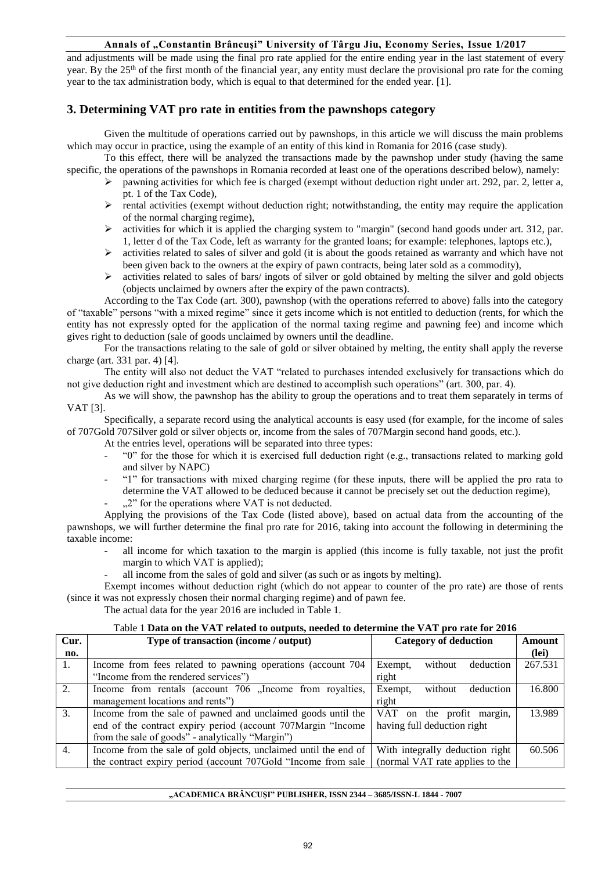### **Annals of "Constantin Brâncuşi" University of Târgu Jiu, Economy Series, Issue 1/2017**

and adjustments will be made using the final pro rate applied for the entire ending year in the last statement of every year. By the 25<sup>th</sup> of the first month of the financial year, any entity must declare the provisional pro rate for the coming year to the tax administration body, which is equal to that determined for the ended year. [1].

# **3. Determining VAT pro rate in entities from the pawnshops category**

Given the multitude of operations carried out by pawnshops, in this article we will discuss the main problems which may occur in practice, using the example of an entity of this kind in Romania for 2016 (case study).

To this effect, there will be analyzed the transactions made by the pawnshop under study (having the same specific, the operations of the pawnshops in Romania recorded at least one of the operations described below), namely:

- $\triangleright$  pawning activities for which fee is charged (exempt without deduction right under art. 292, par. 2, letter a, pt. 1 of the Tax Code),
- $\triangleright$  rental activities (exempt without deduction right; notwithstanding, the entity may require the application of the normal charging regime),
- $\triangleright$  activities for which it is applied the charging system to "margin" (second hand goods under art. 312, par. 1, letter d of the Tax Code, left as warranty for the granted loans; for example: telephones, laptops etc.),
- $\triangleright$  activities related to sales of silver and gold (it is about the goods retained as warranty and which have not been given back to the owners at the expiry of pawn contracts, being later sold as a commodity),
- activities related to sales of bars/ ingots of silver or gold obtained by melting the silver and gold objects (objects unclaimed by owners after the expiry of the pawn contracts).

According to the Tax Code (art. 300), pawnshop (with the operations referred to above) falls into the category of "taxable" persons "with a mixed regime" since it gets income which is not entitled to deduction (rents, for which the entity has not expressly opted for the application of the normal taxing regime and pawning fee) and income which gives right to deduction (sale of goods unclaimed by owners until the deadline.

For the transactions relating to the sale of gold or silver obtained by melting, the entity shall apply the reverse charge (art. 331 par. 4) [4].

The entity will also not deduct the VAT "related to purchases intended exclusively for transactions which do not give deduction right and investment which are destined to accomplish such operations" (art. 300, par. 4).

As we will show, the pawnshop has the ability to group the operations and to treat them separately in terms of VAT [3].

Specifically, a separate record using the analytical accounts is easy used (for example, for the income of sales of 707Gold 707Silver gold or silver objects or, income from the sales of 707Margin second hand goods, etc.).

At the entries level, operations will be separated into three types:

- "0" for the those for which it is exercised full deduction right (e.g., transactions related to marking gold and silver by NAPC)
- "1" for transactions with mixed charging regime (for these inputs, there will be applied the pro rata to determine the VAT allowed to be deduced because it cannot be precisely set out the deduction regime),
	- $, 2$ " for the operations where VAT is not deducted.

Applying the provisions of the Tax Code (listed above), based on actual data from the accounting of the pawnshops, we will further determine the final pro rate for 2016, taking into account the following in determining the taxable income:

- all income for which taxation to the margin is applied (this income is fully taxable, not just the profit margin to which VAT is applied);
- all income from the sales of gold and silver (as such or as ingots by melting).

Exempt incomes without deduction right (which do not appear to counter of the pro rate) are those of rents (since it was not expressly chosen their normal charging regime) and of pawn fee.

The actual data for the year 2016 are included in Table 1.

#### Table 1 **Data on the VAT related to outputs, needed to determine the VAT pro rate for 2016**

| Cur. | Type of transaction (income / output)                            | <b>Category of deduction</b>    | <b>Amount</b> |
|------|------------------------------------------------------------------|---------------------------------|---------------|
| no.  |                                                                  |                                 | $(lei)$       |
| 1.   | Income from fees related to pawning operations (account 704)     | without<br>deduction<br>Exempt, | 267.531       |
|      | "Income from the rendered services")                             | right                           |               |
| 2.   | Income from rentals (account 706 , Income from royalties,        | without<br>deduction<br>Exempt, | 16.800        |
|      | management locations and rents")                                 | right                           |               |
| 3.   | Income from the sale of pawned and unclaimed goods until the     | VAT on the profit margin,       | 13.989        |
|      | end of the contract expiry period (account 707Margin "Income     | having full deduction right     |               |
|      | from the sale of goods" - analytically "Margin")                 |                                 |               |
| 4.   | Income from the sale of gold objects, unclaimed until the end of | With integrally deduction right | 60.506        |
|      | the contract expiry period (account 707Gold "Income from sale    | (normal VAT rate applies to the |               |

#### **"ACADEMICA BRÂNCUŞI" PUBLISHER, ISSN 2344 – 3685/ISSN-L 1844 - 7007**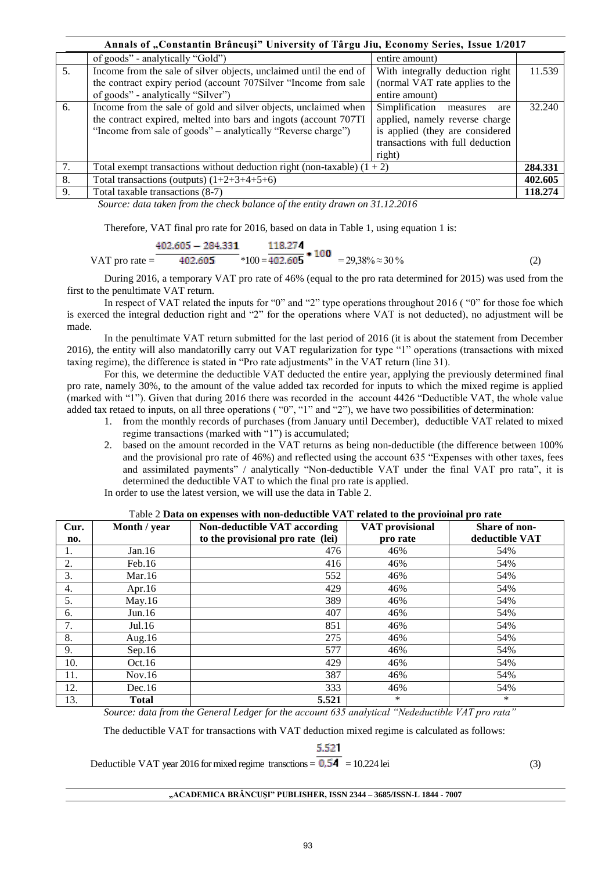| Annals of "Constantin Brâncuși" University of Târgu Jiu, Economy Series, Issue 1/2017 |                                                                           |                                   |         |  |
|---------------------------------------------------------------------------------------|---------------------------------------------------------------------------|-----------------------------------|---------|--|
|                                                                                       | of goods" - analytically "Gold")                                          | entire amount)                    |         |  |
| 5.                                                                                    | Income from the sale of silver objects, unclaimed until the end of        | With integrally deduction right   | 11.539  |  |
|                                                                                       | the contract expiry period (account 707Silver "Income from sale           | (normal VAT rate applies to the   |         |  |
|                                                                                       | of goods" - analytically "Silver")                                        | entire amount)                    |         |  |
| 6.                                                                                    | Income from the sale of gold and silver objects, unclaimed when           | Simplification<br>measures<br>are | 32.240  |  |
|                                                                                       | the contract expired, melted into bars and ingots (account 707TI)         | applied, namely reverse charge    |         |  |
|                                                                                       | "Income from sale of goods" – analytically "Reverse charge")              | is applied (they are considered   |         |  |
|                                                                                       |                                                                           | transactions with full deduction  |         |  |
|                                                                                       |                                                                           | right)                            |         |  |
| 7.                                                                                    | Total exempt transactions without deduction right (non-taxable) $(1 + 2)$ |                                   |         |  |
| 8.                                                                                    | Total transactions (outputs) $(1+2+3+4+5+6)$                              |                                   |         |  |
| 9.                                                                                    | Total taxable transactions (8-7)                                          |                                   | 118.274 |  |

*Source: data taken from the check balance of the entity drawn on 31.12.2016* 

Therefore, VAT final pro rate for 2016, based on data in Table 1, using equation 1 is:

$$
\text{VAT pro rate} = \frac{402.605 - 284.331}{402.605} * 100 = \frac{118.274}{402.605} * 100 = 29,38\% \approx 30\% \tag{2}
$$

During 2016, a temporary VAT pro rate of 46% (equal to the pro rata determined for 2015) was used from the first to the penultimate VAT return.

In respect of VAT related the inputs for "0" and "2" type operations throughout 2016 ( "0" for those foe which is exerced the integral deduction right and "2" for the operations where VAT is not deducted), no adjustment will be made.

In the penultimate VAT return submitted for the last period of 2016 (it is about the statement from December 2016), the entity will also mandatorilly carry out VAT regularization for type "1" operations (transactions with mixed taxing regime), the difference is stated in "Pro rate adjustments" in the VAT return (line 31).

For this, we determine the deductible VAT deducted the entire year, applying the previously determined final pro rate, namely 30%, to the amount of the value added tax recorded for inputs to which the mixed regime is applied (marked with "1"). Given that during 2016 there was recorded in the account 4426 "Deductible VAT, the whole value added tax retaed to inputs, on all three operations ( $"0"$ , "1" and "2"), we have two possibilities of determination:

- 1. from the monthly records of purchases (from January until December), deductible VAT related to mixed regime transactions (marked with "1") is accumulated;
- 2. based on the amount recorded in the VAT returns as being non-deductible (the difference between 100% and the provisional pro rate of 46%) and reflected using the account 635 "Expenses with other taxes, fees and assimilated payments" / analytically "Non-deductible VAT under the final VAT pro rata", it is determined the deductible VAT to which the final pro rate is applied.

In order to use the latest version, we will use the data in Table 2.

| Cur. | Month / year | <b>Non-deductible VAT according</b> | <b>VAT provisional</b> | Share of non-  |
|------|--------------|-------------------------------------|------------------------|----------------|
| no.  |              | to the provisional pro rate (lei)   | pro rate               | deductible VAT |
|      | Jan.16       | 476                                 | 46%                    | 54%            |
| 2.   | Feb.16       | 416                                 | 46%                    | 54%            |
| 3.   | Mar.16       | 552                                 | 46%                    | 54%            |
| 4.   | Apr. $16$    | 429                                 | 46%                    | 54%            |
| 5.   | Mav.16       | 389                                 | 46%                    | 54%            |
| 6.   | Jun.16       | 407                                 | 46%                    | 54%            |
| 7.   | Jul.16       | 851                                 | 46%                    | 54%            |
| 8.   | Aug. $16$    | 275                                 | 46%                    | 54%            |
| 9.   | Sep.16       | 577                                 | 46%                    | 54%            |
| 10.  | Oct.16       | 429                                 | 46%                    | 54%            |
| 11.  | Nov.16       | 387                                 | 46%                    | 54%            |
| 12.  | Dec.16       | 333                                 | 46%                    | 54%            |
| 13.  | <b>Total</b> | 5.521                               | $\ast$                 | *              |

Table 2 **Data on expenses with non-deductible VAT related to the provioinal pro rate**

*Source: data from the General Ledger for the account 635 analytical "Nedeductible VAT pro rata"*

The deductible VAT for transactions with VAT deduction mixed regime is calculated as follows:

5.521

Deductible VAT year 2016 for mixed regime transctions =  $0.54$  = 10.224 lei (3)

### **"ACADEMICA BRÂNCUŞI" PUBLISHER, ISSN 2344 – 3685/ISSN-L 1844 - 7007**